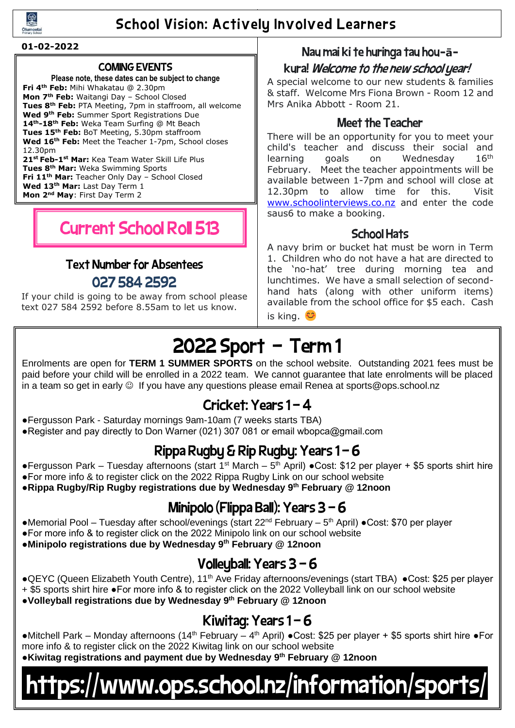

### School Vision: Actively Involved Learners

#### **01-02-2022**

#### COMING EVENTS

**Please note, these dates can be subject to change Fri 4th Feb:** Mihi Whakatau @ 2.30pm **Mon 7th Feb:** Waitangi Day – School Closed **Tues 8th Feb:** PTA Meeting, 7pm in staffroom, all welcome **Wed 9th Feb:** Summer Sport Registrations Due **14th-18th Feb:** Weka Team Surfing @ Mt Beach **Tues 15th Feb:** BoT Meeting, 5.30pm staffroom **Wed 16th Feb:** Meet the Teacher 1-7pm, School closes 12.30pm **21st Feb-1st Mar:** Kea Team Water Skill Life Plus **Tues 8th Mar:** Weka Swimming Sports **Fri 11th Mar:** Teacher Only Day – School Closed **Wed 13th Mar:** Last Day Term 1

**Mon 2<sup>nd</sup> May**: First Day Term 2

## Current School Roll 513

## Text Number for Absentees 027 584 2592

If your child is going to be away from school please text 027 584 2592 before 8.55am to let us know.

#### Nau mai ki te huringa tau hou**-ā-**

#### kura! Welcome to the new school year!

A special welcome to our new students & families & staff. Welcome Mrs Fiona Brown - Room 12 and Mrs Anika Abbott - Room 21.

#### Meet the Teacher

There will be an opportunity for you to meet your child's teacher and discuss their social and learning goals on Wednesday  $16<sup>th</sup>$ February. Meet the teacher appointments will be available between 1-7pm and school will close at 12.30pm to allow time for this. Visit [www.schoolinterviews.co.nz](http://www.schoolinterviews.co.nz/) and enter the code saus6 to make a booking.

#### School Hats

A navy brim or bucket hat must be worn in Term 1. Children who do not have a hat are directed to the 'no-hat' tree during morning tea and lunchtimes. We have a small selection of secondhand hats (along with other uniform items) available from the school office for \$5 each. Cash is king. <sup>€</sup>

## 2022 Sport – Term 1

Enrolments are open for **TERM 1 SUMMER SPORTS** on the school website. Outstanding 2021 fees must be paid before your child will be enrolled in a 2022 team. We cannot guarantee that late enrolments will be placed in a team so get in early ☺ If you have any questions please email Renea at sports@ops.school.nz

### Cricket: Years 1 - 4

- ●Fergusson Park Saturday mornings 9am-10am (7 weeks starts TBA)
- ●Register and pay directly to Don Warner (021) 307 081 or email wbopca@gmail.com

## Rippa Rugby & Rip Rugby: Years 1 - 6

- Fergusson Park Tuesday afternoons (start 1<sup>st</sup> March 5<sup>th</sup> April) Cost: \$12 per player + \$5 sports shirt hire
- ●For more info & to register click on the 2022 Rippa Rugby Link on our school website
- ●**Rippa Rugby/Rip Rugby registrations due by Wednesday 9th February @ 12noon**

## Minipolo (Flippa Ball): Years 3 – 6

- •Memorial Pool Tuesday after school/evenings (start 22<sup>nd</sup> February 5<sup>th</sup> April) •Cost: \$70 per player
- ●For more info & to register click on the 2022 Minipolo link on our school website
- ●**Minipolo registrations due by Wednesday 9 th February @ 12noon**

## Volleyball: Years  $3 - 6$

- ●QEYC (Queen Elizabeth Youth Centre), 11<sup>th</sup> Ave Friday afternoons/evenings (start TBA) ●Cost: \$25 per player + \$5 sports shirt hire ●For more info & to register click on the 2022 Volleyball link on our school website
- ●**Volleyball registrations due by Wednesday 9 th February @ 12noon**

### Kiwitag: Years  $1 - 6$

• Mitchell Park – Monday afternoons (14<sup>th</sup> February – 4<sup>th</sup> April) • Cost: \$25 per player + \$5 sports shirt hire • For more info & to register click on the 2022 Kiwitag link on our school website ●**Kiwitag registrations and payment due by Wednesday 9 th February @ 12noon**

## https://www.ops.school.nz/information/sports/